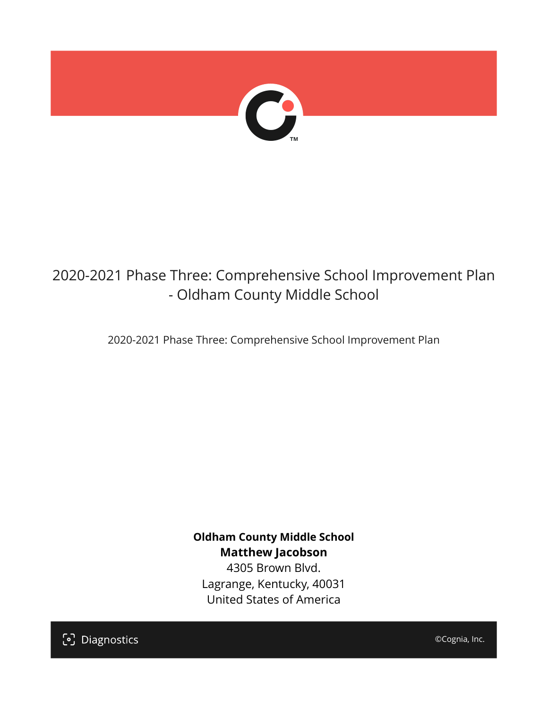

# 2020-2021 Phase Three: Comprehensive School Improvement Plan - Oldham County Middle School

2020-2021 Phase Three: Comprehensive School Improvement Plan

**Oldham County Middle School Matthew Jacobson**

4305 Brown Blvd. Lagrange, Kentucky, 40031 United States of America

[၁] Diagnostics

©Cognia, Inc.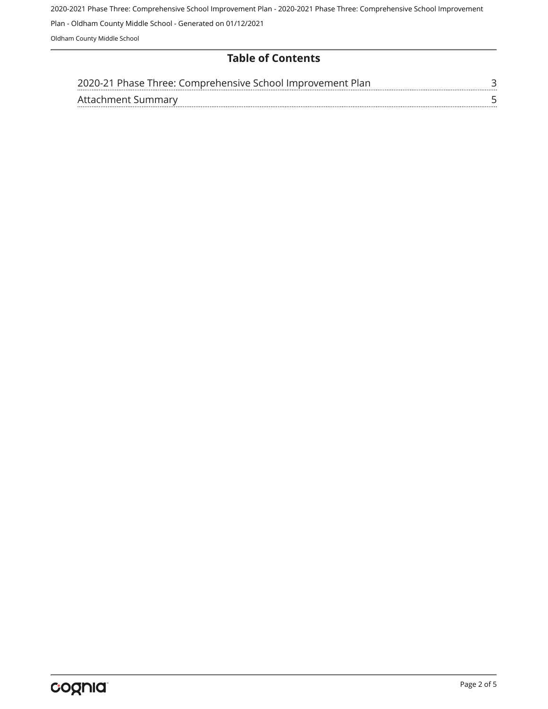2020-2021 Phase Three: Comprehensive School Improvement Plan - 2020-2021 Phase Three: Comprehensive School Improvement Plan - Oldham County Middle School - Generated on 01/12/2021 Oldham County Middle School

### **Table of Contents**

| 2020-21 Phase Three: Comprehensive School Improvement Plan |  |
|------------------------------------------------------------|--|
| Attachment Summary                                         |  |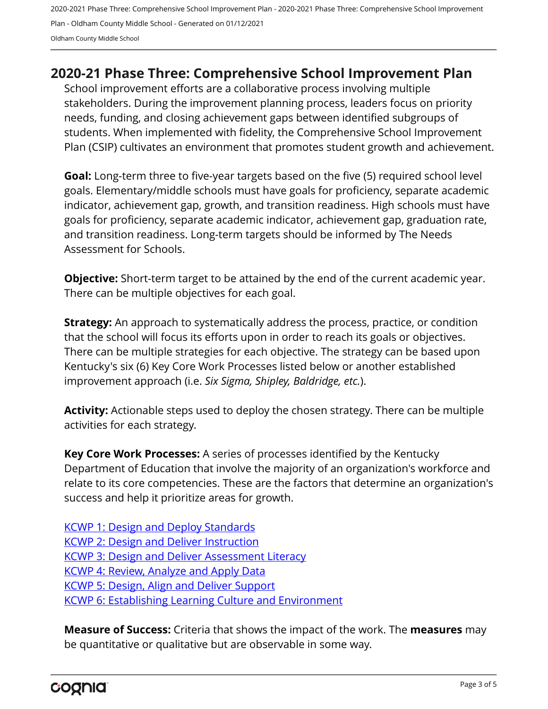2020-2021 Phase Three: Comprehensive School Improvement Plan - 2020-2021 Phase Three: Comprehensive School Improvement Plan - Oldham County Middle School - Generated on 01/12/2021 Oldham County Middle School

# <span id="page-2-0"></span>**2020-21 Phase Three: Comprehensive School Improvement Plan**

School improvement efforts are a collaborative process involving multiple stakeholders. During the improvement planning process, leaders focus on priority needs, funding, and closing achievement gaps between identified subgroups of students. When implemented with fidelity, the Comprehensive School Improvement Plan (CSIP) cultivates an environment that promotes student growth and achievement.

**Goal:** Long-term three to five-year targets based on the five (5) required school level goals. Elementary/middle schools must have goals for proficiency, separate academic indicator, achievement gap, growth, and transition readiness. High schools must have goals for proficiency, separate academic indicator, achievement gap, graduation rate, and transition readiness. Long-term targets should be informed by The Needs Assessment for Schools.

**Objective:** Short-term target to be attained by the end of the current academic year. There can be multiple objectives for each goal.

**Strategy:** An approach to systematically address the process, practice, or condition that the school will focus its efforts upon in order to reach its goals or objectives. There can be multiple strategies for each objective. The strategy can be based upon Kentucky's six (6) Key Core Work Processes listed below or another established improvement approach (i.e. *Six Sigma, Shipley, Baldridge, etc.*).

**Activity:** Actionable steps used to deploy the chosen strategy. There can be multiple activities for each strategy.

**Key Core Work Processes:** A series of processes identified by the Kentucky Department of Education that involve the majority of an organization's workforce and relate to its core competencies. These are the factors that determine an organization's success and help it prioritize areas for growth.

[KCWP 1: Design and Deploy Standards](https://education.ky.gov/school/csip/Documents/KCWP%201%20Strategic%20Design%20and%20Deploy%20Standards.pdf) [KCWP 2: Design and Deliver Instruction](https://education.ky.gov/school/csip/Documents/KCWP%202%20Strategic%20Design%20and%20Deliver%20Instruction.pdf) [KCWP 3: Design and Deliver Assessment Literacy](https://education.ky.gov/school/csip/Documents/KCWP%203%20Strategic%20Design%20and%20Deliver%20Assessment%20Literacy.pdf) [KCWP 4: Review, Analyze and Apply Data](https://education.ky.gov/school/csip/Documents/KCWP%204%20Strategic%20Review%20Analyze%20and%20Apply%20Data.pdf) [KCWP 5: Design, Align and Deliver Support](https://education.ky.gov/school/csip/Documents/KCWP%205%20Strategic%20Design%20Align%20Deliver%20Support%20Processes.pdf) [KCWP 6: Establishing Learning Culture and Environment](https://education.ky.gov/school/csip/Documents/KCWP%206%20Strategic%20Establish%20Learning%20Culture%20and%20Environment.pdf)

**Measure of Success:** Criteria that shows the impact of the work. The **measures** may be quantitative or qualitative but are observable in some way.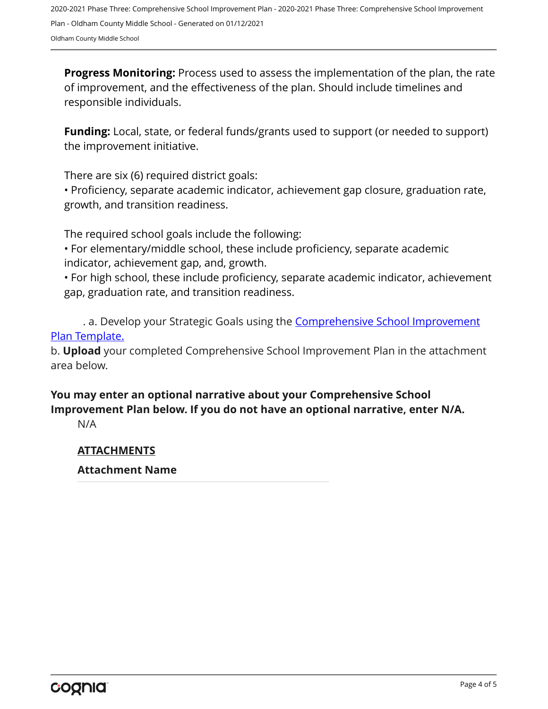2020-2021 Phase Three: Comprehensive School Improvement Plan - 2020-2021 Phase Three: Comprehensive School Improvement Plan - Oldham County Middle School - Generated on 01/12/2021 Oldham County Middle School

**Progress Monitoring:** Process used to assess the implementation of the plan, the rate of improvement, and the effectiveness of the plan. Should include timelines and responsible individuals.

**Funding:** Local, state, or federal funds/grants used to support (or needed to support) the improvement initiative.

There are six (6) required district goals:

• Proficiency, separate academic indicator, achievement gap closure, graduation rate, growth, and transition readiness.

The required school goals include the following:

• For elementary/middle school, these include proficiency, separate academic indicator, achievement gap, and, growth.

• For high school, these include proficiency, separate academic indicator, achievement gap, graduation rate, and transition readiness.

. a. Develop your Strategic Goals using the **[Comprehensive School Improvement](https://education.ky.gov/school/csip/Documents/KDE%20Comprehensive%20Improvement%20Plan%20for%20School.docx)** [Plan Template.](https://education.ky.gov/school/csip/Documents/KDE%20Comprehensive%20Improvement%20Plan%20for%20School.docx)

b. **Upload** your completed Comprehensive School Improvement Plan in the attachment area below.

## **You may enter an optional narrative about your Comprehensive School Improvement Plan below. If you do not have an optional narrative, enter N/A.**

N/A

#### **ATTACHMENTS**

#### **Attachment Name**